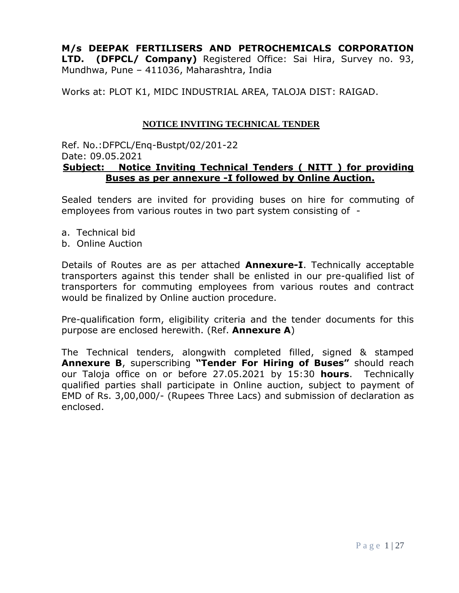**M/s DEEPAK FERTILISERS AND PETROCHEMICALS CORPORATION LTD. (DFPCL/ Company)** Registered Office: Sai Hira, Survey no. 93, Mundhwa, Pune – 411036, Maharashtra, India

Works at: PLOT K1, MIDC INDUSTRIAL AREA, TALOJA DIST: RAIGAD.

#### **NOTICE INVITING TECHNICAL TENDER**

#### Ref. No.:DFPCL/Enq-Bustpt/02/201-22 Date: 09.05.2021 **Subject: Notice Inviting Technical Tenders ( NITT ) for providing Buses as per annexure -I followed by Online Auction.**

Sealed tenders are invited for providing buses on hire for commuting of employees from various routes in two part system consisting of -

- a. Technical bid
- b. Online Auction

Details of Routes are as per attached **Annexure-I**. Technically acceptable transporters against this tender shall be enlisted in our pre-qualified list of transporters for commuting employees from various routes and contract would be finalized by Online auction procedure.

Pre-qualification form, eligibility criteria and the tender documents for this purpose are enclosed herewith. (Ref. **Annexure A**)

The Technical tenders, alongwith completed filled, signed & stamped **Annexure B**, superscribing **"Tender For Hiring of Buses"** should reach our Taloja office on or before 27.05.2021 by 15:30 **hours**. Technically qualified parties shall participate in Online auction, subject to payment of EMD of Rs. 3,00,000/- (Rupees Three Lacs) and submission of declaration as enclosed.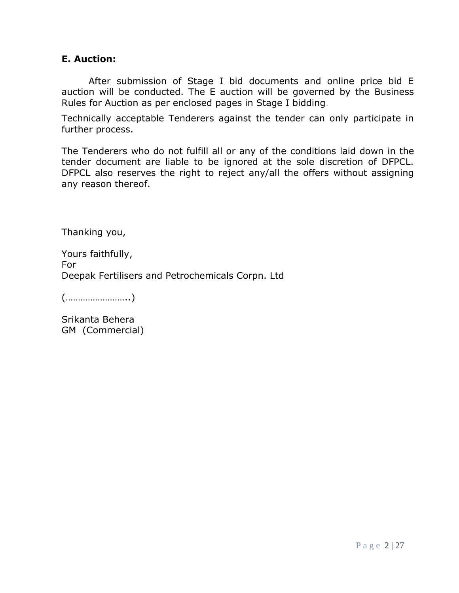### **E. Auction:**

After submission of Stage I bid documents and online price bid E auction will be conducted. The E auction will be governed by the Business Rules for Auction as per enclosed pages in Stage I bidding.

Technically acceptable Tenderers against the tender can only participate in further process.

The Tenderers who do not fulfill all or any of the conditions laid down in the tender document are liable to be ignored at the sole discretion of DFPCL. DFPCL also reserves the right to reject any/all the offers without assigning any reason thereof.

Thanking you,

Yours faithfully, For Deepak Fertilisers and Petrochemicals Corpn. Ltd

(……………………..)

Srikanta Behera GM (Commercial)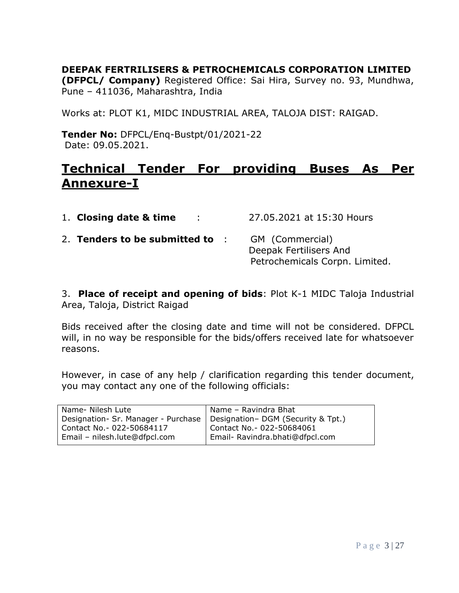**DEEPAK FERTRILISERS & PETROCHEMICALS CORPORATION LIMITED** 

**(DFPCL/ Company)** Registered Office: Sai Hira, Survey no. 93, Mundhwa, Pune – 411036, Maharashtra, India

Works at: PLOT K1, MIDC INDUSTRIAL AREA, TALOJA DIST: RAIGAD.

**Tender No:** DFPCL/Enq-Bustpt/01/2021-22 Date: 09.05.2021.

# **Technical Tender For providing Buses As Per Annexure-I**

| 1. Closing date & time<br>$\sim$ 100 $\sim$ | 27.05.2021 at 15:30 Hours                                                   |
|---------------------------------------------|-----------------------------------------------------------------------------|
| 2. Tenders to be submitted to :             | GM (Commercial)<br>Deepak Fertilisers And<br>Petrochemicals Corpn. Limited. |

3. **Place of receipt and opening of bids**: Plot K-1 MIDC Taloja Industrial Area, Taloja, District Raigad

Bids received after the closing date and time will not be considered. DFPCL will, in no way be responsible for the bids/offers received late for whatsoever reasons.

However, in case of any help / clarification regarding this tender document, you may contact any one of the following officials:

| Name- Nilesh Lute                                                        | Name - Ravindra Bhat            |
|--------------------------------------------------------------------------|---------------------------------|
| Designation- Sr. Manager - Purchase   Designation- DGM (Security & Tpt.) |                                 |
| Contact No. - 022-50684117                                               | Contact No. - 022-50684061      |
| Email - nilesh.lute@dfpcl.com                                            | Email- Ravindra.bhati@dfpcl.com |
|                                                                          |                                 |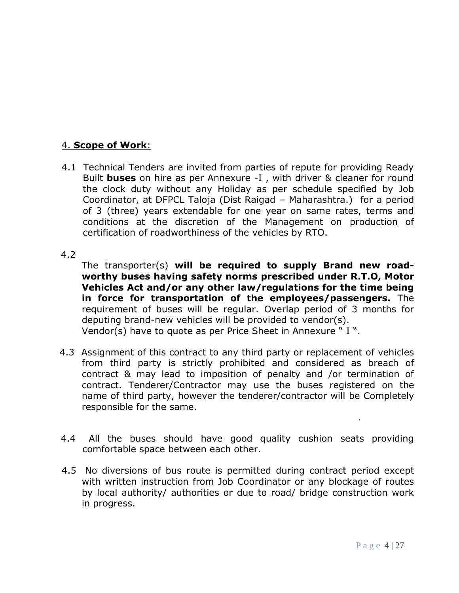### 4. **Scope of Work**:

4.1 Technical Tenders are invited from parties of repute for providing Ready Built **buses** on hire as per Annexure -I , with driver & cleaner for round the clock duty without any Holiday as per schedule specified by Job Coordinator, at DFPCL Taloja (Dist Raigad – Maharashtra.) for a period of 3 (three) years extendable for one year on same rates, terms and conditions at the discretion of the Management on production of certification of roadworthiness of the vehicles by RTO.

#### 4.2

The transporter(s) **will be required to supply Brand new roadworthy buses having safety norms prescribed under R.T.O, Motor Vehicles Act and/or any other law/regulations for the time being in force for transportation of the employees/passengers.** The requirement of buses will be regular. Overlap period of 3 months for deputing brand-new vehicles will be provided to vendor(s). Vendor(s) have to quote as per Price Sheet in Annexure " I ".

- 4.3 Assignment of this contract to any third party or replacement of vehicles from third party is strictly prohibited and considered as breach of contract & may lead to imposition of penalty and /or termination of contract. Tenderer/Contractor may use the buses registered on the name of third party, however the tenderer/contractor will be Completely responsible for the same.
- 4.4 All the buses should have good quality cushion seats providing comfortable space between each other.
- 4.5 No diversions of bus route is permitted during contract period except with written instruction from Job Coordinator or any blockage of routes by local authority/ authorities or due to road/ bridge construction work in progress.

.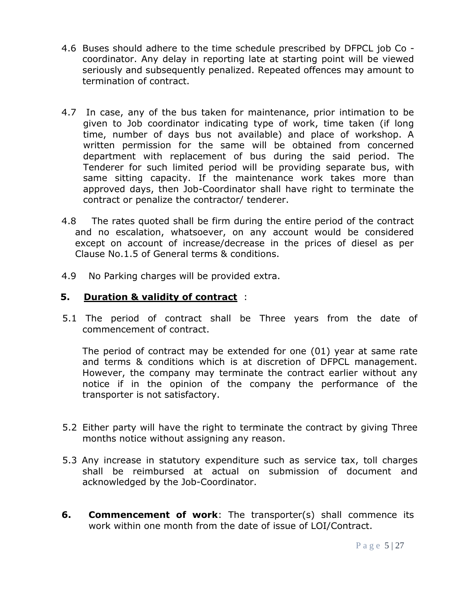- 4.6 Buses should adhere to the time schedule prescribed by DFPCL job Co coordinator. Any delay in reporting late at starting point will be viewed seriously and subsequently penalized. Repeated offences may amount to termination of contract.
- 4.7 In case, any of the bus taken for maintenance, prior intimation to be given to Job coordinator indicating type of work, time taken (if long time, number of days bus not available) and place of workshop. A written permission for the same will be obtained from concerned department with replacement of bus during the said period. The Tenderer for such limited period will be providing separate bus, with same sitting capacity. If the maintenance work takes more than approved days, then Job-Coordinator shall have right to terminate the contract or penalize the contractor/ tenderer.
- 4.8 The rates quoted shall be firm during the entire period of the contract and no escalation, whatsoever, on any account would be considered except on account of increase/decrease in the prices of diesel as per Clause No.1.5 of General terms & conditions.
- 4.9 No Parking charges will be provided extra.

### **5. Duration & validity of contract** :

5.1 The period of contract shall be Three years from the date of commencement of contract.

The period of contract may be extended for one (01) year at same rate and terms & conditions which is at discretion of DFPCL management. However, the company may terminate the contract earlier without any notice if in the opinion of the company the performance of the transporter is not satisfactory.

- 5.2 Either party will have the right to terminate the contract by giving Three months notice without assigning any reason.
- 5.3 Any increase in statutory expenditure such as service tax, toll charges shall be reimbursed at actual on submission of document and acknowledged by the Job-Coordinator.
- **6. Commencement of work**: The transporter(s) shall commence its work within one month from the date of issue of LOI/Contract.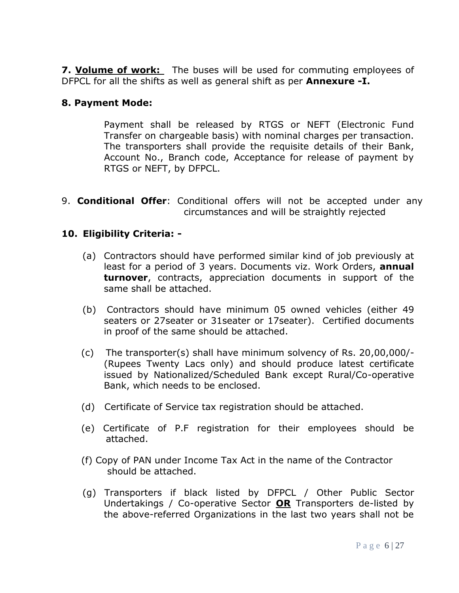**7. Volume of work:** The buses will be used for commuting employees of DFPCL for all the shifts as well as general shift as per **Annexure -I.**

### **8. Payment Mode:**

Payment shall be released by RTGS or NEFT (Electronic Fund Transfer on chargeable basis) with nominal charges per transaction. The transporters shall provide the requisite details of their Bank, Account No., Branch code, Acceptance for release of payment by RTGS or NEFT, by DFPCL.

9. **Conditional Offer**: Conditional offers will not be accepted under any circumstances and will be straightly rejected

# **10. Eligibility Criteria: -**

- (a) Contractors should have performed similar kind of job previously at least for a period of 3 years. Documents viz. Work Orders, **annual turnover**, contracts, appreciation documents in support of the same shall be attached.
- (b) Contractors should have minimum 05 owned vehicles (either 49 seaters or 27seater or 31seater or 17seater). Certified documents in proof of the same should be attached.
- (c) The transporter(s) shall have minimum solvency of Rs. 20,00,000/- (Rupees Twenty Lacs only) and should produce latest certificate issued by Nationalized/Scheduled Bank except Rural/Co-operative Bank, which needs to be enclosed.
- (d) Certificate of Service tax registration should be attached.
- (e) Certificate of P.F registration for their employees should be attached.
- (f) Copy of PAN under Income Tax Act in the name of the Contractor should be attached.
- (g) Transporters if black listed by DFPCL / Other Public Sector Undertakings / Co-operative Sector **OR** Transporters de-listed by the above-referred Organizations in the last two years shall not be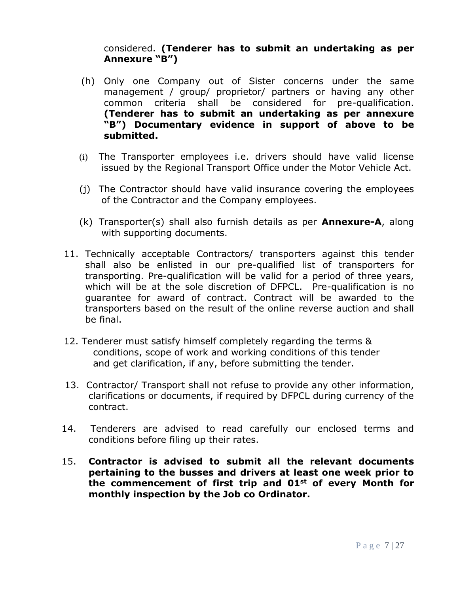### considered. **(Tenderer has to submit an undertaking as per Annexure "B")**

- (h) Only one Company out of Sister concerns under the same management / group/ proprietor/ partners or having any other common criteria shall be considered for pre-qualification. **(Tenderer has to submit an undertaking as per annexure "B") Documentary evidence in support of above to be submitted.**
- (i) The Transporter employees i.e. drivers should have valid license issued by the Regional Transport Office under the Motor Vehicle Act.
- (j) The Contractor should have valid insurance covering the employees of the Contractor and the Company employees.
- (k) Transporter(s) shall also furnish details as per **Annexure-A**, along with supporting documents.
- 11. Technically acceptable Contractors/ transporters against this tender shall also be enlisted in our pre-qualified list of transporters for transporting. Pre-qualification will be valid for a period of three years, which will be at the sole discretion of DFPCL. Pre-qualification is no guarantee for award of contract. Contract will be awarded to the transporters based on the result of the online reverse auction and shall be final.
- 12. Tenderer must satisfy himself completely regarding the terms & conditions, scope of work and working conditions of this tender and get clarification, if any, before submitting the tender.
- 13. Contractor/ Transport shall not refuse to provide any other information, clarifications or documents, if required by DFPCL during currency of the contract.
- 14. Tenderers are advised to read carefully our enclosed terms and conditions before filing up their rates.
- 15. **Contractor is advised to submit all the relevant documents pertaining to the busses and drivers at least one week prior to the commencement of first trip and 01st of every Month for monthly inspection by the Job co Ordinator.**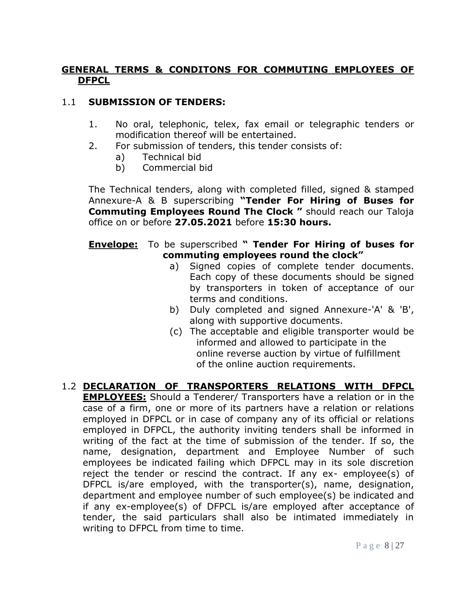### **GENERAL TERMS & CONDITONS FOR COMMUTING EMPLOYEES OF DFPCL**

# 1.1 **SUBMISSION OF TENDERS:**

- 1. No oral, telephonic, telex, fax email or telegraphic tenders or modification thereof will be entertained.
- 2. For submission of tenders, this tender consists of:
	- a) Technical bid
	- b) Commercial bid

The Technical tenders, along with completed filled, signed & stamped Annexure-A & B superscribing **"Tender For Hiring of Buses for Commuting Employees Round The Clock "** should reach our Taloja office on or before **27.05.2021** before **15:30 hours.**

### **Envelope:** To be superscribed **" Tender For Hiring of buses for commuting employees round the clock"**

- a) Signed copies of complete tender documents. Each copy of these documents should be signed by transporters in token of acceptance of our terms and conditions.
- b) Duly completed and signed Annexure-'A' & 'B', along with supportive documents.
- (c) The acceptable and eligible transporter would be informed and allowed to participate in the online reverse auction by virtue of fulfillment of the online auction requirements.
- 1.2 **DECLARATION OF TRANSPORTERS RELATIONS WITH DFPCL EMPLOYEES:** Should a Tenderer/ Transporters have a relation or in the case of a firm, one or more of its partners have a relation or relations employed in DFPCL or in case of company any of its official or relations employed in DFPCL, the authority inviting tenders shall be informed in writing of the fact at the time of submission of the tender. If so, the name, designation, department and Employee Number of such employees be indicated failing which DFPCL may in its sole discretion reject the tender or rescind the contract. If any ex- employee(s) of DFPCL is/are employed, with the transporter(s), name, designation, department and employee number of such employee(s) be indicated and if any ex-employee(s) of DFPCL is/are employed after acceptance of tender, the said particulars shall also be intimated immediately in writing to DFPCL from time to time.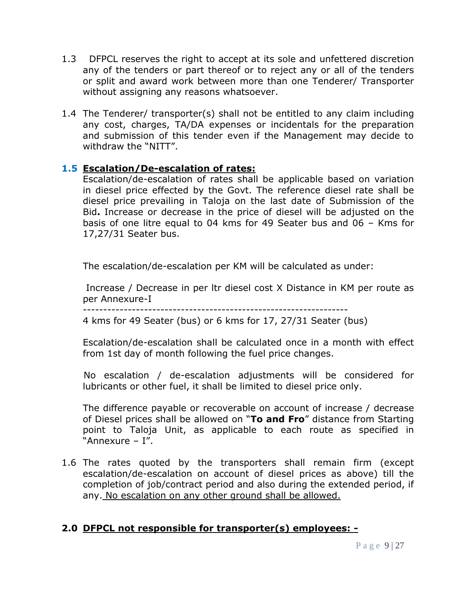- 1.3 DFPCL reserves the right to accept at its sole and unfettered discretion any of the tenders or part thereof or to reject any or all of the tenders or split and award work between more than one Tenderer/ Transporter without assigning any reasons whatsoever.
- 1.4 The Tenderer/ transporter(s) shall not be entitled to any claim including any cost, charges, TA/DA expenses or incidentals for the preparation and submission of this tender even if the Management may decide to withdraw the "NITT".

### **1.5 Escalation/De-escalation of rates:**

Escalation/de-escalation of rates shall be applicable based on variation in diesel price effected by the Govt. The reference diesel rate shall be diesel price prevailing in Taloja on the last date of Submission of the Bid**.** Increase or decrease in the price of diesel will be adjusted on the basis of one litre equal to 04 kms for 49 Seater bus and 06 – Kms for 17,27/31 Seater bus.

The escalation/de-escalation per KM will be calculated as under:

Increase / Decrease in per ltr diesel cost X Distance in KM per route as per Annexure-I

4 kms for 49 Seater (bus) or 6 kms for 17, 27/31 Seater (bus)

Escalation/de-escalation shall be calculated once in a month with effect from 1st day of month following the fuel price changes.

 No escalation / de-escalation adjustments will be considered for lubricants or other fuel, it shall be limited to diesel price only.

The difference payable or recoverable on account of increase / decrease of Diesel prices shall be allowed on "**To and Fro**" distance from Starting point to Taloja Unit, as applicable to each route as specified in "Annexure – I".

1.6 The rates quoted by the transporters shall remain firm (except escalation/de-escalation on account of diesel prices as above) till the completion of job/contract period and also during the extended period, if any. No escalation on any other ground shall be allowed.

# **2.0 DFPCL not responsible for transporter(s) employees: -**

<sup>-----------------------------------------------------------------</sup>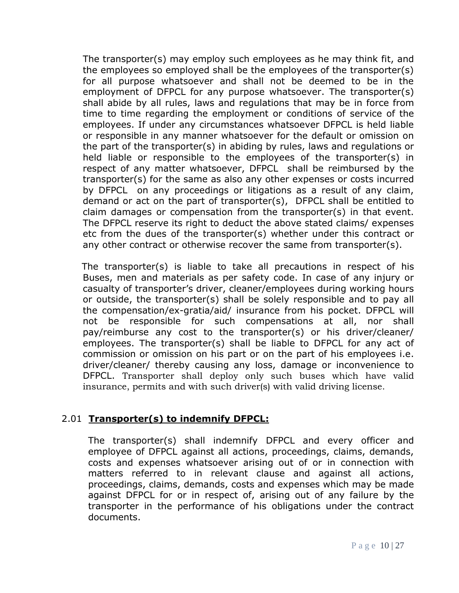The transporter(s) may employ such employees as he may think fit, and the employees so employed shall be the employees of the transporter(s) for all purpose whatsoever and shall not be deemed to be in the employment of DFPCL for any purpose whatsoever. The transporter(s) shall abide by all rules, laws and regulations that may be in force from time to time regarding the employment or conditions of service of the employees. If under any circumstances whatsoever DFPCL is held liable or responsible in any manner whatsoever for the default or omission on the part of the transporter(s) in abiding by rules, laws and regulations or held liable or responsible to the employees of the transporter(s) in respect of any matter whatsoever, DFPCL shall be reimbursed by the transporter(s) for the same as also any other expenses or costs incurred by DFPCL on any proceedings or litigations as a result of any claim, demand or act on the part of transporter(s), DFPCL shall be entitled to claim damages or compensation from the transporter(s) in that event. The DFPCL reserve its right to deduct the above stated claims/ expenses etc from the dues of the transporter(s) whether under this contract or any other contract or otherwise recover the same from transporter(s).

The transporter(s) is liable to take all precautions in respect of his Buses, men and materials as per safety code. In case of any injury or casualty of transporter's driver, cleaner/employees during working hours or outside, the transporter(s) shall be solely responsible and to pay all the compensation/ex-gratia/aid/ insurance from his pocket. DFPCL will not be responsible for such compensations at all, nor shall pay/reimburse any cost to the transporter(s) or his driver/cleaner/ employees. The transporter(s) shall be liable to DFPCL for any act of commission or omission on his part or on the part of his employees i.e. driver/cleaner/ thereby causing any loss, damage or inconvenience to DFPCL. Transporter shall deploy only such buses which have valid insurance, permits and with such driver(s) with valid driving license.

# 2.01 **Transporter(s) to indemnify DFPCL:**

The transporter(s) shall indemnify DFPCL and every officer and employee of DFPCL against all actions, proceedings, claims, demands, costs and expenses whatsoever arising out of or in connection with matters referred to in relevant clause and against all actions, proceedings, claims, demands, costs and expenses which may be made against DFPCL for or in respect of, arising out of any failure by the transporter in the performance of his obligations under the contract documents.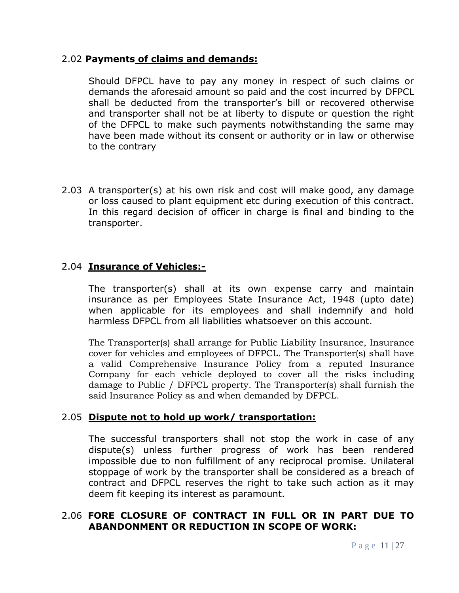### 2.02 **Payments of claims and demands:**

Should DFPCL have to pay any money in respect of such claims or demands the aforesaid amount so paid and the cost incurred by DFPCL shall be deducted from the transporter's bill or recovered otherwise and transporter shall not be at liberty to dispute or question the right of the DFPCL to make such payments notwithstanding the same may have been made without its consent or authority or in law or otherwise to the contrary

2.03 A transporter(s) at his own risk and cost will make good, any damage or loss caused to plant equipment etc during execution of this contract. In this regard decision of officer in charge is final and binding to the transporter.

### 2.04 **Insurance of Vehicles:-**

The transporter(s) shall at its own expense carry and maintain insurance as per Employees State Insurance Act, 1948 (upto date) when applicable for its employees and shall indemnify and hold harmless DFPCL from all liabilities whatsoever on this account.

The Transporter(s) shall arrange for Public Liability Insurance, Insurance cover for vehicles and employees of DFPCL. The Transporter(s) shall have a valid Comprehensive Insurance Policy from a reputed Insurance Company for each vehicle deployed to cover all the risks including damage to Public / DFPCL property. The Transporter(s) shall furnish the said Insurance Policy as and when demanded by DFPCL.

### 2.05 **Dispute not to hold up work/ transportation:**

The successful transporters shall not stop the work in case of any dispute(s) unless further progress of work has been rendered impossible due to non fulfillment of any reciprocal promise. Unilateral stoppage of work by the transporter shall be considered as a breach of contract and DFPCL reserves the right to take such action as it may deem fit keeping its interest as paramount.

### 2.06 **FORE CLOSURE OF CONTRACT IN FULL OR IN PART DUE TO ABANDONMENT OR REDUCTION IN SCOPE OF WORK:**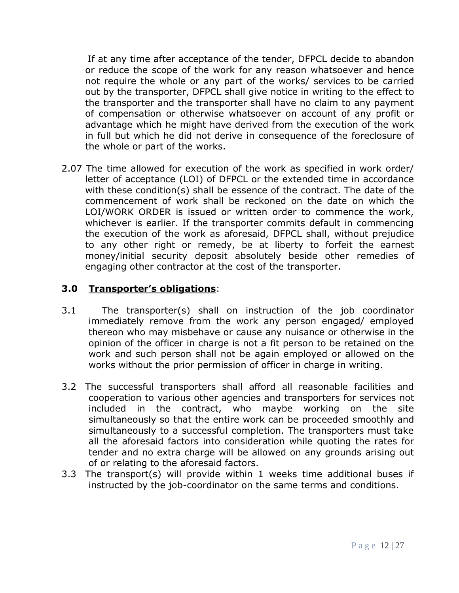If at any time after acceptance of the tender, DFPCL decide to abandon or reduce the scope of the work for any reason whatsoever and hence not require the whole or any part of the works/ services to be carried out by the transporter, DFPCL shall give notice in writing to the effect to the transporter and the transporter shall have no claim to any payment of compensation or otherwise whatsoever on account of any profit or advantage which he might have derived from the execution of the work in full but which he did not derive in consequence of the foreclosure of the whole or part of the works.

2.07 The time allowed for execution of the work as specified in work order/ letter of acceptance (LOI) of DFPCL or the extended time in accordance with these condition(s) shall be essence of the contract. The date of the commencement of work shall be reckoned on the date on which the LOI/WORK ORDER is issued or written order to commence the work, whichever is earlier. If the transporter commits default in commencing the execution of the work as aforesaid, DFPCL shall, without prejudice to any other right or remedy, be at liberty to forfeit the earnest money/initial security deposit absolutely beside other remedies of engaging other contractor at the cost of the transporter.

### **3.0 Transporter's obligations**:

- 3.1 The transporter(s) shall on instruction of the job coordinator immediately remove from the work any person engaged/ employed thereon who may misbehave or cause any nuisance or otherwise in the opinion of the officer in charge is not a fit person to be retained on the work and such person shall not be again employed or allowed on the works without the prior permission of officer in charge in writing.
- 3.2 The successful transporters shall afford all reasonable facilities and cooperation to various other agencies and transporters for services not included in the contract, who maybe working on the site simultaneously so that the entire work can be proceeded smoothly and simultaneously to a successful completion. The transporters must take all the aforesaid factors into consideration while quoting the rates for tender and no extra charge will be allowed on any grounds arising out of or relating to the aforesaid factors.
- 3.3 The transport(s) will provide within 1 weeks time additional buses if instructed by the job-coordinator on the same terms and conditions.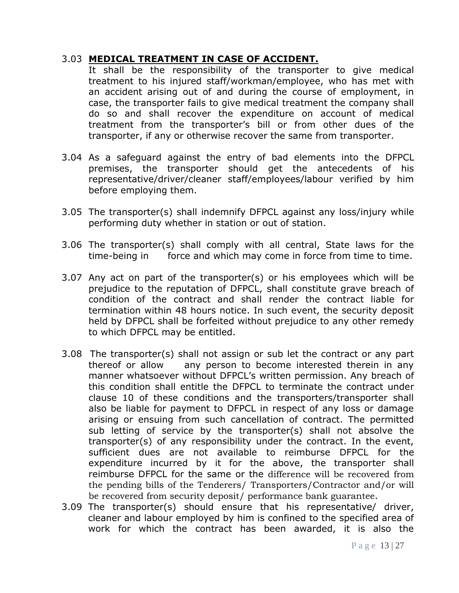### 3.03 **MEDICAL TREATMENT IN CASE OF ACCIDENT.**

It shall be the responsibility of the transporter to give medical treatment to his injured staff/workman/employee, who has met with an accident arising out of and during the course of employment, in case, the transporter fails to give medical treatment the company shall do so and shall recover the expenditure on account of medical treatment from the transporter's bill or from other dues of the transporter, if any or otherwise recover the same from transporter.

- 3.04 As a safeguard against the entry of bad elements into the DFPCL premises, the transporter should get the antecedents of his representative/driver/cleaner staff/employees/labour verified by him before employing them.
- 3.05 The transporter(s) shall indemnify DFPCL against any loss/injury while performing duty whether in station or out of station.
- 3.06 The transporter(s) shall comply with all central, State laws for the time-being in force and which may come in force from time to time.
- 3.07 Any act on part of the transporter(s) or his employees which will be prejudice to the reputation of DFPCL, shall constitute grave breach of condition of the contract and shall render the contract liable for termination within 48 hours notice. In such event, the security deposit held by DFPCL shall be forfeited without prejudice to any other remedy to which DFPCL may be entitled.
- 3.08 The transporter(s) shall not assign or sub let the contract or any part thereof or allow any person to become interested therein in any manner whatsoever without DFPCL's written permission. Any breach of this condition shall entitle the DFPCL to terminate the contract under clause 10 of these conditions and the transporters/transporter shall also be liable for payment to DFPCL in respect of any loss or damage arising or ensuing from such cancellation of contract. The permitted sub letting of service by the transporter(s) shall not absolve the transporter(s) of any responsibility under the contract. In the event, sufficient dues are not available to reimburse DFPCL for the expenditure incurred by it for the above, the transporter shall reimburse DFPCL for the same or the difference will be recovered from the pending bills of the Tenderers/ Transporters/Contractor and/or will be recovered from security deposit/ performance bank guarantee.
- 3.09 The transporter(s) should ensure that his representative/ driver, cleaner and labour employed by him is confined to the specified area of work for which the contract has been awarded, it is also the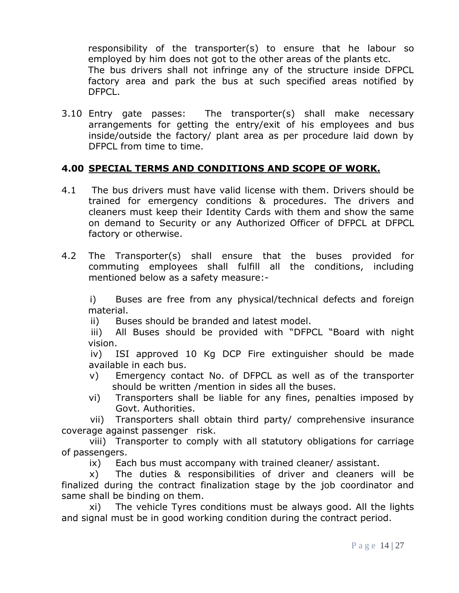responsibility of the transporter(s) to ensure that he labour so employed by him does not got to the other areas of the plants etc. The bus drivers shall not infringe any of the structure inside DFPCL factory area and park the bus at such specified areas notified by DFPCL.

3.10 Entry gate passes: The transporter(s) shall make necessary arrangements for getting the entry/exit of his employees and bus inside/outside the factory/ plant area as per procedure laid down by DFPCL from time to time.

# **4.00 SPECIAL TERMS AND CONDITIONS AND SCOPE OF WORK.**

- 4.1 The bus drivers must have valid license with them. Drivers should be trained for emergency conditions & procedures. The drivers and cleaners must keep their Identity Cards with them and show the same on demand to Security or any Authorized Officer of DFPCL at DFPCL factory or otherwise.
- 4.2 The Transporter(s) shall ensure that the buses provided for commuting employees shall fulfill all the conditions, including mentioned below as a safety measure:-

i) Buses are free from any physical/technical defects and foreign material.

ii) Buses should be branded and latest model.

iii) All Buses should be provided with "DFPCL "Board with night vision.

iv) ISI approved 10 Kg DCP Fire extinguisher should be made available in each bus.

- v) Emergency contact No. of DFPCL as well as of the transporter should be written /mention in sides all the buses.
- vi) Transporters shall be liable for any fines, penalties imposed by Govt. Authorities.

vii) Transporters shall obtain third party/ comprehensive insurance coverage against passenger risk.

viii) Transporter to comply with all statutory obligations for carriage of passengers.

ix) Each bus must accompany with trained cleaner/ assistant.

x) The duties & responsibilities of driver and cleaners will be finalized during the contract finalization stage by the job coordinator and same shall be binding on them.

xi) The vehicle Tyres conditions must be always good. All the lights and signal must be in good working condition during the contract period.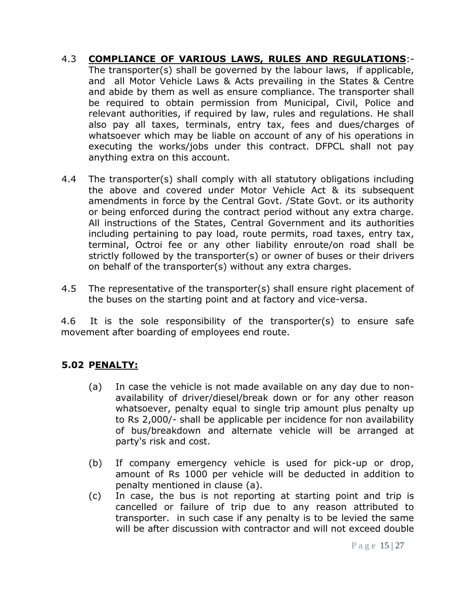- 4.3 **COMPLIANCE OF VARIOUS LAWS, RULES AND REGULATIONS**:- The transporter(s) shall be governed by the labour laws, if applicable, and all Motor Vehicle Laws & Acts prevailing in the States & Centre and abide by them as well as ensure compliance. The transporter shall be required to obtain permission from Municipal, Civil, Police and relevant authorities, if required by law, rules and regulations. He shall also pay all taxes, terminals, entry tax, fees and dues/charges of whatsoever which may be liable on account of any of his operations in executing the works/jobs under this contract. DFPCL shall not pay anything extra on this account.
- 4.4 The transporter(s) shall comply with all statutory obligations including the above and covered under Motor Vehicle Act & its subsequent amendments in force by the Central Govt. /State Govt. or its authority or being enforced during the contract period without any extra charge. All instructions of the States, Central Government and its authorities including pertaining to pay load, route permits, road taxes, entry tax, terminal, Octroi fee or any other liability enroute/on road shall be strictly followed by the transporter(s) or owner of buses or their drivers on behalf of the transporter(s) without any extra charges.
- 4.5 The representative of the transporter(s) shall ensure right placement of the buses on the starting point and at factory and vice-versa.

4.6 It is the sole responsibility of the transporter(s) to ensure safe movement after boarding of employees end route.

# **5.02 PENALTY:**

- (a) In case the vehicle is not made available on any day due to nonavailability of driver/diesel/break down or for any other reason whatsoever, penalty equal to single trip amount plus penalty up to Rs 2,000/- shall be applicable per incidence for non availability of bus/breakdown and alternate vehicle will be arranged at party's risk and cost.
- (b) If company emergency vehicle is used for pick-up or drop, amount of Rs 1000 per vehicle will be deducted in addition to penalty mentioned in clause (a).
- (c) In case, the bus is not reporting at starting point and trip is cancelled or failure of trip due to any reason attributed to transporter. in such case if any penalty is to be levied the same will be after discussion with contractor and will not exceed double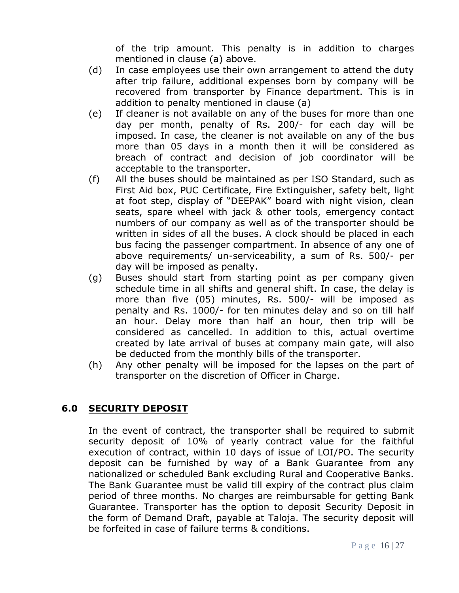of the trip amount. This penalty is in addition to charges mentioned in clause (a) above.

- (d) In case employees use their own arrangement to attend the duty after trip failure, additional expenses born by company will be recovered from transporter by Finance department. This is in addition to penalty mentioned in clause (a)
- (e) If cleaner is not available on any of the buses for more than one day per month, penalty of Rs. 200/- for each day will be imposed. In case, the cleaner is not available on any of the bus more than 05 days in a month then it will be considered as breach of contract and decision of job coordinator will be acceptable to the transporter.
- (f) All the buses should be maintained as per ISO Standard, such as First Aid box, PUC Certificate, Fire Extinguisher, safety belt, light at foot step, display of "DEEPAK" board with night vision, clean seats, spare wheel with jack & other tools, emergency contact numbers of our company as well as of the transporter should be written in sides of all the buses. A clock should be placed in each bus facing the passenger compartment. In absence of any one of above requirements/ un-serviceability, a sum of Rs. 500/- per day will be imposed as penalty.
- (g) Buses should start from starting point as per company given schedule time in all shifts and general shift. In case, the delay is more than five (05) minutes, Rs. 500/- will be imposed as penalty and Rs. 1000/- for ten minutes delay and so on till half an hour. Delay more than half an hour, then trip will be considered as cancelled. In addition to this, actual overtime created by late arrival of buses at company main gate, will also be deducted from the monthly bills of the transporter.
- (h) Any other penalty will be imposed for the lapses on the part of transporter on the discretion of Officer in Charge.

# **6.0 SECURITY DEPOSIT**

In the event of contract, the transporter shall be required to submit security deposit of 10% of yearly contract value for the faithful execution of contract, within 10 days of issue of LOI/PO. The security deposit can be furnished by way of a Bank Guarantee from any nationalized or scheduled Bank excluding Rural and Cooperative Banks. The Bank Guarantee must be valid till expiry of the contract plus claim period of three months. No charges are reimbursable for getting Bank Guarantee. Transporter has the option to deposit Security Deposit in the form of Demand Draft, payable at Taloja. The security deposit will be forfeited in case of failure terms & conditions.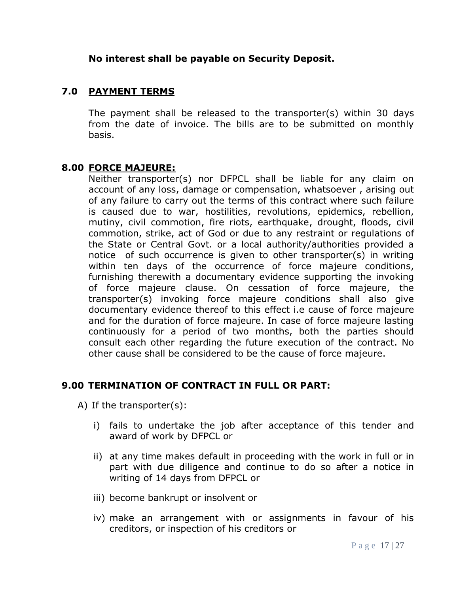### **No interest shall be payable on Security Deposit.**

### **7.0 PAYMENT TERMS**

The payment shall be released to the transporter(s) within 30 days from the date of invoice. The bills are to be submitted on monthly basis.

#### **8.00 FORCE MAJEURE:**

Neither transporter(s) nor DFPCL shall be liable for any claim on account of any loss, damage or compensation, whatsoever , arising out of any failure to carry out the terms of this contract where such failure is caused due to war, hostilities, revolutions, epidemics, rebellion, mutiny, civil commotion, fire riots, earthquake, drought, floods, civil commotion, strike, act of God or due to any restraint or regulations of the State or Central Govt. or a local authority/authorities provided a notice of such occurrence is given to other transporter(s) in writing within ten days of the occurrence of force majeure conditions, furnishing therewith a documentary evidence supporting the invoking of force majeure clause. On cessation of force majeure, the transporter(s) invoking force majeure conditions shall also give documentary evidence thereof to this effect i.e cause of force majeure and for the duration of force majeure. In case of force majeure lasting continuously for a period of two months, both the parties should consult each other regarding the future execution of the contract. No other cause shall be considered to be the cause of force majeure.

### **9.00 TERMINATION OF CONTRACT IN FULL OR PART:**

A) If the transporter(s):

- i) fails to undertake the job after acceptance of this tender and award of work by DFPCL or
- ii) at any time makes default in proceeding with the work in full or in part with due diligence and continue to do so after a notice in writing of 14 days from DFPCL or
- iii) become bankrupt or insolvent or
- iv) make an arrangement with or assignments in favour of his creditors, or inspection of his creditors or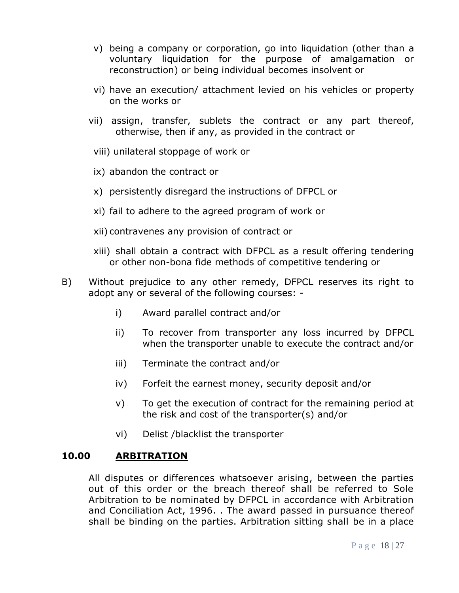- v) being a company or corporation, go into liquidation (other than a voluntary liquidation for the purpose of amalgamation or reconstruction) or being individual becomes insolvent or
- vi) have an execution/ attachment levied on his vehicles or property on the works or
- vii) assign, transfer, sublets the contract or any part thereof, otherwise, then if any, as provided in the contract or
- viii) unilateral stoppage of work or
- ix) abandon the contract or
- x) persistently disregard the instructions of DFPCL or
- xi) fail to adhere to the agreed program of work or
- xii) contravenes any provision of contract or
- xiii) shall obtain a contract with DFPCL as a result offering tendering or other non-bona fide methods of competitive tendering or
- B) Without prejudice to any other remedy, DFPCL reserves its right to adopt any or several of the following courses:
	- i) Award parallel contract and/or
	- ii) To recover from transporter any loss incurred by DFPCL when the transporter unable to execute the contract and/or
	- iii) Terminate the contract and/or
	- iv) Forfeit the earnest money, security deposit and/or
	- v) To get the execution of contract for the remaining period at the risk and cost of the transporter(s) and/or
	- vi) Delist /blacklist the transporter

# **10.00 ARBITRATION**

All disputes or differences whatsoever arising, between the parties out of this order or the breach thereof shall be referred to Sole Arbitration to be nominated by DFPCL in accordance with Arbitration and Conciliation Act, 1996. . The award passed in pursuance thereof shall be binding on the parties. Arbitration sitting shall be in a place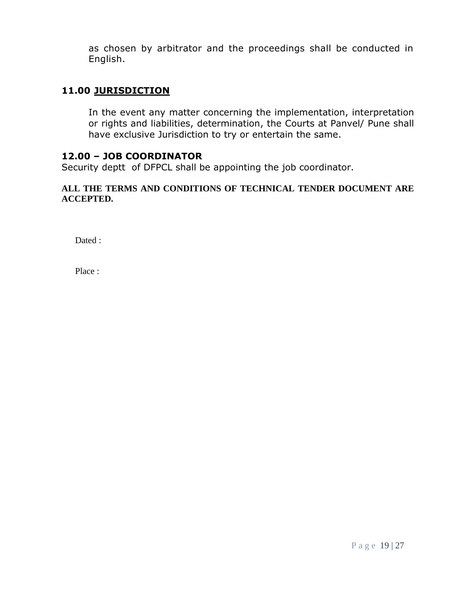as chosen by arbitrator and the proceedings shall be conducted in English.

# **11.00 JURISDICTION**

In the event any matter concerning the implementation, interpretation or rights and liabilities, determination, the Courts at Panvel/ Pune shall have exclusive Jurisdiction to try or entertain the same.

#### **12.00 – JOB COORDINATOR**

Security deptt of DFPCL shall be appointing the job coordinator.

#### **ALL THE TERMS AND CONDITIONS OF TECHNICAL TENDER DOCUMENT ARE ACCEPTED.**

Dated :

Place :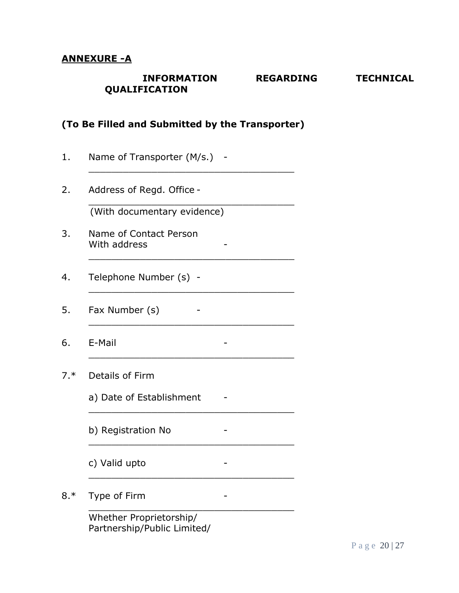### **ANNEXURE -A**

### **INFORMATION REGARDING TECHNICAL QUALIFICATION**

### **(To Be Filled and Submitted by the Transporter)**

\_\_\_\_\_\_\_\_\_\_\_\_\_\_\_\_\_\_\_\_\_\_\_\_\_\_\_\_\_\_\_\_\_\_\_\_

\_\_\_\_\_\_\_\_\_\_\_\_\_\_\_\_\_\_\_\_\_\_\_\_\_\_\_\_\_\_\_\_\_\_\_\_

\_\_\_\_\_\_\_\_\_\_\_\_\_\_\_\_\_\_\_\_\_\_\_\_\_\_\_\_\_\_\_\_\_\_\_\_

\_\_\_\_\_\_\_\_\_\_\_\_\_\_\_\_\_\_\_\_\_\_\_\_\_\_\_\_\_\_\_\_\_\_\_\_

\_\_\_\_\_\_\_\_\_\_\_\_\_\_\_\_\_\_\_\_\_\_\_\_\_\_\_\_\_\_\_\_\_\_\_\_

\_\_\_\_\_\_\_\_\_\_\_\_\_\_\_\_\_\_\_\_\_\_\_\_\_\_\_\_\_\_\_\_\_\_\_\_

\_\_\_\_\_\_\_\_\_\_\_\_\_\_\_\_\_\_\_\_\_\_\_\_\_\_\_\_\_\_\_\_\_\_\_\_

\_\_\_\_\_\_\_\_\_\_\_\_\_\_\_\_\_\_\_\_\_\_\_\_\_\_\_\_\_\_\_\_\_\_\_\_

\_\_\_\_\_\_\_\_\_\_\_\_\_\_\_\_\_\_\_\_\_\_\_\_\_\_\_\_\_\_\_\_\_\_\_\_

\_\_\_\_\_\_\_\_\_\_\_\_\_\_\_\_\_\_\_\_\_\_\_\_\_\_\_\_\_\_\_\_\_\_\_\_

- 1. Name of Transporter (M/s.) -
- 2. Address of Regd. Office -

(With documentary evidence)

- 3. Name of Contact Person With address
- 4. Telephone Number (s) -
- 5. Fax Number (s) -
- 6. E-Mail -
- 7.\* Details of Firm
	- a) Date of Establishment -

b) Registration No -

- c) Valid upto -
- 8.\* Type of Firm Fig. 2.1 Fig. 2.1 Fig. 2.1 Fig. 2.1 Fig. 2.1 Fig. 2.1 Fig. 2.1 Fig. 2.1 Fig. 2.1 Fig. 2.1 Fig. 2.1 Fig. 2.1 Fig. 2.1 Fig. 2.1 Fig. 2.1 Fig. 2.1 Fig. 2.1 Fig. 2.1 Fig. 2.1 Fig. 2.1 Fig. 2.1 Fig. 2.1 Fig. 2.

Whether Proprietorship/ Partnership/Public Limited/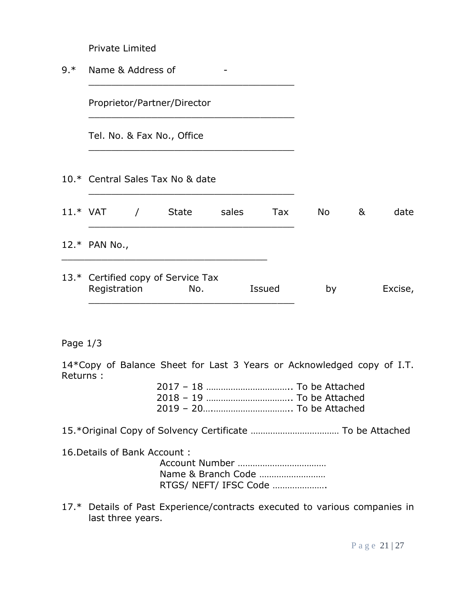| Private Limited |  |
|-----------------|--|
|                 |  |

9.\* Name & Address of -

\_\_\_\_\_\_\_\_\_\_\_\_\_\_\_\_\_\_\_\_\_\_\_\_\_\_\_\_\_\_\_\_\_\_\_\_

\_\_\_\_\_\_\_\_\_\_\_\_\_\_\_\_\_\_\_\_\_\_\_\_\_\_\_\_\_\_\_\_\_\_\_\_

\_\_\_\_\_\_\_\_\_\_\_\_\_\_\_\_\_\_\_\_\_\_\_\_\_\_\_\_\_\_\_\_\_\_\_\_

\_\_\_\_\_\_\_\_\_\_\_\_\_\_\_\_\_\_\_\_\_\_\_\_\_\_\_\_\_\_\_\_\_\_\_\_

Proprietor/Partner/Director

Tel. No. & Fax No., Office

10.\* Central Sales Tax No & date

| $11.*$ VAT |               | <b>State</b>                              | sales | Tax           | No. | & | date    |
|------------|---------------|-------------------------------------------|-------|---------------|-----|---|---------|
|            | 12.* PAN No., |                                           |       |               |     |   |         |
|            | Registration  | 13.* Certified copy of Service Tax<br>No. |       | <b>Issued</b> | by  |   | Excise, |

### Page 1/3

14\*Copy of Balance Sheet for Last 3 Years or Acknowledged copy of I.T. Returns :

15.\*Original Copy of Solvency Certificate ……………………………… To be Attached

16.Details of Bank Account :

| RTGS/ NEFT/ IFSC Code |
|-----------------------|

17.\* Details of Past Experience/contracts executed to various companies in last three years.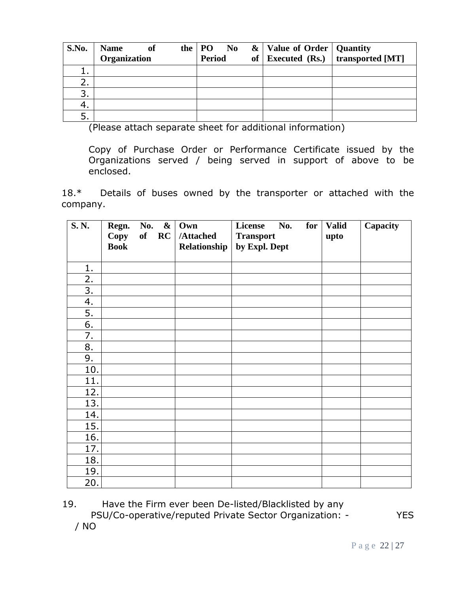| S.No.    | <b>Name</b><br>of<br>Organization | the | PO No<br>Period | of | &   Value of Order   Quantity | <b>Executed (Rs.)</b> transported [MT] |
|----------|-----------------------------------|-----|-----------------|----|-------------------------------|----------------------------------------|
| <b>.</b> |                                   |     |                 |    |                               |                                        |
| 2.       |                                   |     |                 |    |                               |                                        |
| 3.       |                                   |     |                 |    |                               |                                        |
| 4.       |                                   |     |                 |    |                               |                                        |
| 5.       |                                   |     |                 |    |                               |                                        |

(Please attach separate sheet for additional information)

Copy of Purchase Order or Performance Certificate issued by the Organizations served / being served in support of above to be enclosed.

18.\* Details of buses owned by the transporter or attached with the company.

| S.N. | Regn.<br>Copy<br><b>Book</b> | No.<br>RC<br>of | $\boldsymbol{\&}$<br>Own<br>/Attached<br>Relationship | License<br>No.<br>for<br><b>Transport</b><br>by Expl. Dept | <b>Valid</b><br>upto | Capacity |
|------|------------------------------|-----------------|-------------------------------------------------------|------------------------------------------------------------|----------------------|----------|
| 1.   |                              |                 |                                                       |                                                            |                      |          |
| 2.   |                              |                 |                                                       |                                                            |                      |          |
| 3.   |                              |                 |                                                       |                                                            |                      |          |
| 4.   |                              |                 |                                                       |                                                            |                      |          |
| 5.   |                              |                 |                                                       |                                                            |                      |          |
| 6.   |                              |                 |                                                       |                                                            |                      |          |
| 7.   |                              |                 |                                                       |                                                            |                      |          |
| 8.   |                              |                 |                                                       |                                                            |                      |          |
| 9.   |                              |                 |                                                       |                                                            |                      |          |
| 10.  |                              |                 |                                                       |                                                            |                      |          |
| 11.  |                              |                 |                                                       |                                                            |                      |          |
| 12.  |                              |                 |                                                       |                                                            |                      |          |
| 13.  |                              |                 |                                                       |                                                            |                      |          |
| 14.  |                              |                 |                                                       |                                                            |                      |          |
| 15.  |                              |                 |                                                       |                                                            |                      |          |
| 16.  |                              |                 |                                                       |                                                            |                      |          |
| 17.  |                              |                 |                                                       |                                                            |                      |          |
| 18.  |                              |                 |                                                       |                                                            |                      |          |
| 19.  |                              |                 |                                                       |                                                            |                      |          |
| 20.  |                              |                 |                                                       |                                                            |                      |          |

19. Have the Firm ever been De-listed/Blacklisted by any PSU/Co-operative/reputed Private Sector Organization: - YES

/ NO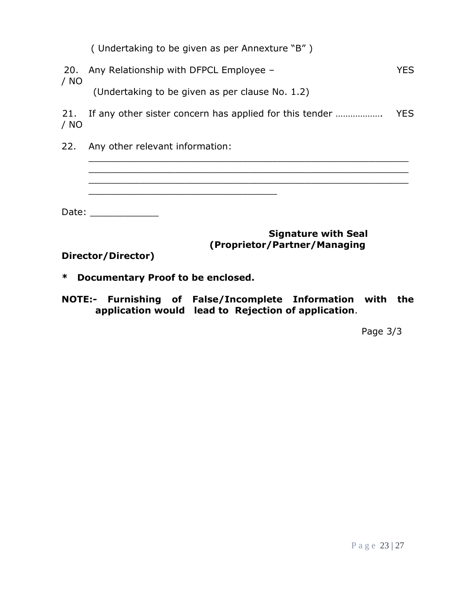|  |  | (Undertaking to be given as per Annexture "B") |
|--|--|------------------------------------------------|
|--|--|------------------------------------------------|

\_\_\_\_\_\_\_\_\_\_\_\_\_\_\_\_\_\_\_\_\_\_\_\_\_\_\_\_\_\_\_\_\_\_\_\_\_\_\_\_\_\_\_\_\_\_\_\_\_\_\_\_\_\_\_\_

\_\_\_\_\_\_\_\_\_\_\_\_\_\_\_\_\_\_\_\_\_\_\_\_\_\_\_\_\_\_\_\_\_

|      | 20. Any Relationship with DFPCL Employee -      | YES. |
|------|-------------------------------------------------|------|
| / NO |                                                 |      |
|      | (Undertaking to be given as per clause No. 1.2) |      |

21. If any other sister concern has applied for this tender ………………. YES / NO

\_\_\_\_\_\_\_\_\_\_\_\_\_\_\_\_\_\_\_\_\_\_\_\_\_\_\_\_\_\_\_\_\_\_\_\_\_\_\_\_\_\_\_\_\_\_\_\_\_\_\_\_\_\_\_\_

22. Any other relevant information:

Date: \_\_\_\_\_\_\_\_\_\_\_\_\_\_

# **Signature with Seal (Proprietor/Partner/Managing**

\_\_\_\_\_\_\_\_\_\_\_\_\_\_\_\_\_\_\_\_\_\_\_\_\_\_\_\_\_\_\_\_\_\_\_\_\_\_\_\_\_\_\_\_\_\_\_\_\_\_\_\_\_\_\_\_

**Director/Director)**

- **\* Documentary Proof to be enclosed.**
- **NOTE:- Furnishing of False/Incomplete Information with the application would lead to Rejection of application**.

Page 3/3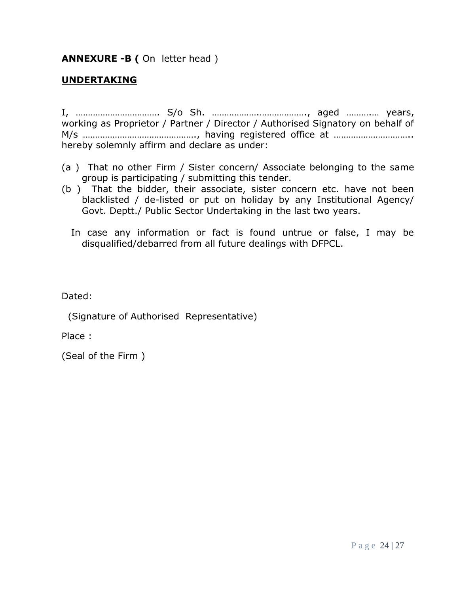**ANNEXURE -B (** On letter head )

# **UNDERTAKING**

I, ……………………………. S/o Sh. ……………….………………., aged ……….… years, working as Proprietor / Partner / Director / Authorised Signatory on behalf of M/s ………………………………………., having registered office at ………………………….. hereby solemnly affirm and declare as under:

- (a ) That no other Firm / Sister concern/ Associate belonging to the same group is participating / submitting this tender.
- (b ) That the bidder, their associate, sister concern etc. have not been blacklisted / de-listed or put on holiday by any Institutional Agency/ Govt. Deptt./ Public Sector Undertaking in the last two years.
	- In case any information or fact is found untrue or false, I may be disqualified/debarred from all future dealings with DFPCL.

Dated:

(Signature of Authorised Representative)

Place :

(Seal of the Firm )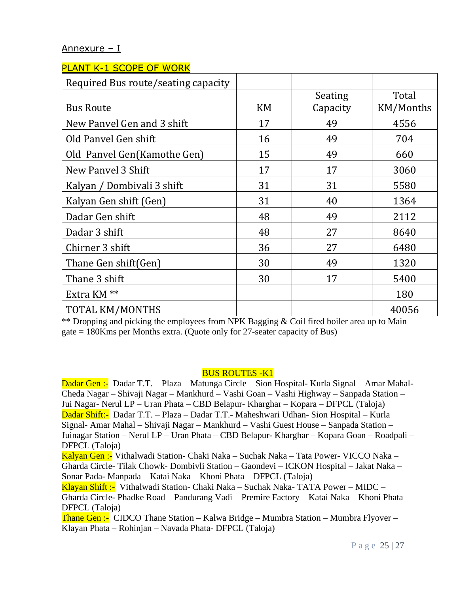### Annexure – I

| <b>PLANT K-1 SCOPE OF WORK</b>      |           |          |           |
|-------------------------------------|-----------|----------|-----------|
| Required Bus route/seating capacity |           |          |           |
|                                     |           | Seating  | Total     |
| <b>Bus Route</b>                    | <b>KM</b> | Capacity | KM/Months |
| New Panvel Gen and 3 shift          | 17        | 49       | 4556      |
| Old Panyel Gen shift                | 16        | 49       | 704       |
| Old Panvel Gen(Kamothe Gen)         | 15        | 49       | 660       |
| New Panyel 3 Shift                  | 17        | 17       | 3060      |
| Kalyan / Dombivali 3 shift          | 31        | 31       | 5580      |
| Kalyan Gen shift (Gen)              | 31        | 40       | 1364      |
| Dadar Gen shift                     | 48        | 49       | 2112      |
| Dadar 3 shift                       | 48        | 27       | 8640      |
| Chirner 3 shift                     | 36        | 27       | 6480      |
| Thane Gen shift(Gen)                | 30        | 49       | 1320      |
| Thane 3 shift                       | 30        | 17       | 5400      |
| Extra KM <sup>**</sup>              |           |          | 180       |
| TOTAL KM/MONTHS                     |           |          | 40056     |

\*\* Dropping and picking the employees from NPK Bagging & Coil fired boiler area up to Main gate = 180Kms per Months extra. (Quote only for 27-seater capacity of Bus)

#### BUS ROUTES -K1

Dadar Gen :- Dadar T.T. – Plaza – Matunga Circle – Sion Hospital- Kurla Signal – Amar Mahal-Cheda Nagar – Shivaji Nagar – Mankhurd – Vashi Goan – Vashi Highway – Sanpada Station – Jui Nagar- Nerul LP – Uran Phata – CBD Belapur- Kharghar – Kopara – DFPCL (Taloja) Dadar Shift:- Dadar T.T. – Plaza – Dadar T.T.- Maheshwari Udhan- Sion Hospital – Kurla Signal- Amar Mahal – Shivaji Nagar – Mankhurd – Vashi Guest House – Sanpada Station – Juinagar Station – Nerul LP – Uran Phata – CBD Belapur- Kharghar – Kopara Goan – Roadpali – DFPCL (Taloja)

Kalyan Gen :- Vithalwadi Station- Chaki Naka – Suchak Naka – Tata Power- VICCO Naka – Gharda Circle- Tilak Chowk- Dombivli Station – Gaondevi – ICKON Hospital – Jakat Naka – Sonar Pada- Manpada – Katai Naka – Khoni Phata – DFPCL (Taloja)

Klayan Shift :- Vithalwadi Station- Chaki Naka – Suchak Naka- TATA Power – MIDC – Gharda Circle- Phadke Road – Pandurang Vadi – Premire Factory – Katai Naka – Khoni Phata – DFPCL (Taloja)

Thane Gen :- CIDCO Thane Station – Kalwa Bridge – Mumbra Station – Mumbra Flyover – Klayan Phata – Rohinjan – Navada Phata- DFPCL (Taloja)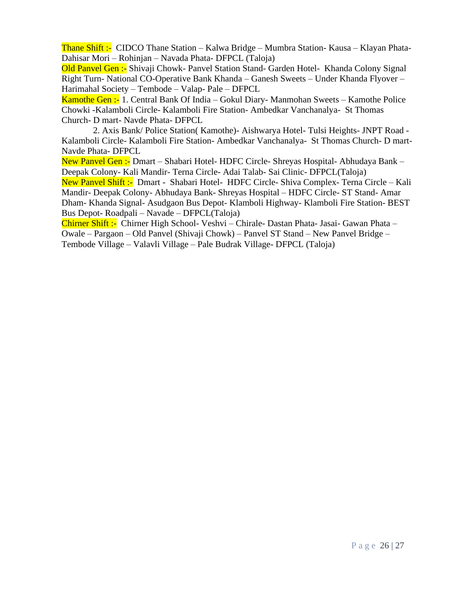Thane Shift :- CIDCO Thane Station – Kalwa Bridge – Mumbra Station- Kausa – Klayan Phata-Dahisar Mori – Rohinjan – Navada Phata- DFPCL (Taloja)

Old Panvel Gen :- Shivaji Chowk- Panvel Station Stand- Garden Hotel- Khanda Colony Signal Right Turn- National CO-Operative Bank Khanda – Ganesh Sweets – Under Khanda Flyover – Harimahal Society – Tembode – Valap- Pale – DFPCL

Kamothe Gen :- 1. Central Bank Of India – Gokul Diary- Manmohan Sweets – Kamothe Police Chowki -Kalamboli Circle- Kalamboli Fire Station- Ambedkar Vanchanalya- St Thomas Church- D mart- Navde Phata- DFPCL

 2. Axis Bank/ Police Station( Kamothe)- Aishwarya Hotel- Tulsi Heights- JNPT Road - Kalamboli Circle- Kalamboli Fire Station- Ambedkar Vanchanalya- St Thomas Church- D mart-Navde Phata- DFPCL

New Panvel Gen :- Dmart – Shabari Hotel- HDFC Circle- Shreyas Hospital- Abhudaya Bank – Deepak Colony- Kali Mandir- Terna Circle- Adai Talab- Sai Clinic- DFPCL(Taloja) New Panvel Shift :- Dmart - Shabari Hotel- HDFC Circle- Shiva Complex- Terna Circle – Kali Mandir- Deepak Colony- Abhudaya Bank- Shreyas Hospital – HDFC Circle- ST Stand- Amar Dham- Khanda Signal- Asudgaon Bus Depot- Klamboli Highway- Klamboli Fire Station- BEST Bus Depot- Roadpali – Navade – DFPCL(Taloja)

Chirner Shift :- Chirner High School- Veshvi – Chirale- Dastan Phata- Jasai- Gawan Phata – Owale – Pargaon – Old Panvel (Shivaji Chowk) – Panvel ST Stand – New Panvel Bridge – Tembode Village – Valavli Village – Pale Budrak Village- DFPCL (Taloja)